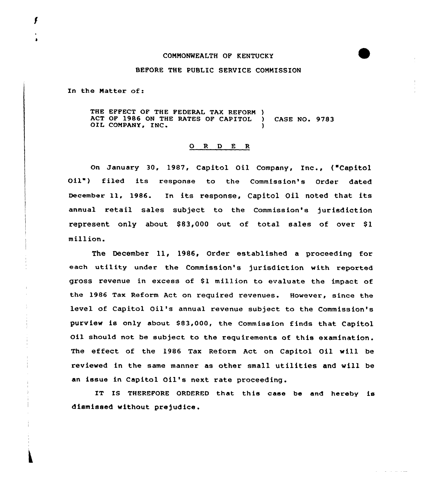## COMMONWEALTH OF KENTUCKY

## BEFORE THE PUBLIC SERVICE COMMISSION

In the Matter of:

THE EFFECT OF THE FEDERAL TAX REFORM )<br>ACT OF 1986 ON THE RATES OF CAPITOL ) ACT OP 1986 ON THE RATES OF CAPITOL ) CASE NO. 9783 OIL COMPANY, INC.

## 0 <sup>R</sup> <sup>D</sup> E <sup>R</sup>

On January 30, 1987, Capitol Oil Company, Inc., ("Capitol Oil") filed its response to the Commission's Order dated December 11, 1986. In its response, Capitol Oil noted that its annual retail sales subject ta the Commission's jurisdiction represent only about  $$83,000$  out of total sales of over  $$1$ million.

The December 11, 1986, Order established a proceeding for each utility under the Commission's jurisdiction with reported gross revenue in excess of \$1 million to evaluate the impact of the 1986 Tax Reform Act on required revenues. However, since the level of Capital Oil's annual revenue subject ta the Commission's purview is only about \$83,000, the Commission finds that Capitol Oil should not be subject to the requirements of this examination. The effect of the 1986 Tax Reform Act on Capitol Oil will be reviewed in the same manner as other small utilities and will be an issue in Capitol Oil's next rate proceeding.

IT IS THEREFORE ORDERED that this case be and hereby is dismissed without prejudice.